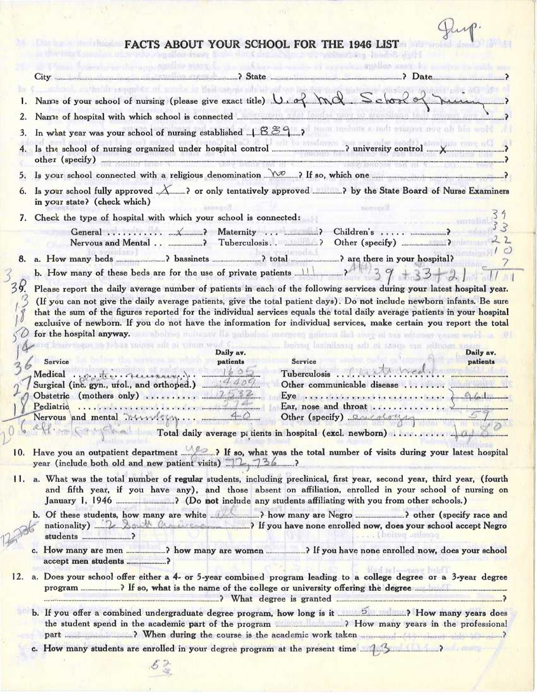Pup.

|  |  | FACTS ABOUT YOUR SCHOOL FOR THE 1946 LIST |  |  |  |
|--|--|-------------------------------------------|--|--|--|
|  |  |                                           |  |  |  |

 $\alpha\bar{\alpha}$ 

**PENS** 

 $\alpha$  .

 $12$ 

|     |                                                                    |           | Name of your school of nursing (please give exact title) U. of McC School of nursing                                                                                                                                                                                                                                                                                                                                                                                                               |          |
|-----|--------------------------------------------------------------------|-----------|----------------------------------------------------------------------------------------------------------------------------------------------------------------------------------------------------------------------------------------------------------------------------------------------------------------------------------------------------------------------------------------------------------------------------------------------------------------------------------------------------|----------|
|     |                                                                    |           |                                                                                                                                                                                                                                                                                                                                                                                                                                                                                                    |          |
|     |                                                                    |           |                                                                                                                                                                                                                                                                                                                                                                                                                                                                                                    |          |
| 3.  |                                                                    |           | In what year was your school of nursing established 1889, post include a radi stages now of his well                                                                                                                                                                                                                                                                                                                                                                                               |          |
|     |                                                                    |           | other (specify) <u>experimental experimental</u> experimental experimental experimental experimental experimental experimental experimental experimental experimental experimental experimental experimental experimental experimen                                                                                                                                                                                                                                                                |          |
| 5.  |                                                                    |           |                                                                                                                                                                                                                                                                                                                                                                                                                                                                                                    |          |
|     | in your state? (check which)                                       |           | Is your school fully approved  or only tentatively approved ? by the State Board of Nurse Examiners                                                                                                                                                                                                                                                                                                                                                                                                |          |
| 7.  | Check the type of hospital with which your school is connected:    |           | DHITANYA                                                                                                                                                                                                                                                                                                                                                                                                                                                                                           |          |
|     |                                                                    |           | Children's                                                                                                                                                                                                                                                                                                                                                                                                                                                                                         | $\sim$ 2 |
| 8.  |                                                                    |           |                                                                                                                                                                                                                                                                                                                                                                                                                                                                                                    |          |
|     | b. How many of these beds are for the use of private patients 11 2 |           |                                                                                                                                                                                                                                                                                                                                                                                                                                                                                                    |          |
| 38. |                                                                    |           | Please report the daily average number of patients in each of the following services during your latest hospital year.                                                                                                                                                                                                                                                                                                                                                                             |          |
|     |                                                                    |           | (If you can not give the daily average patients, give the total patient days). Do not include newborn infants. Be sure<br>that the sum of the figures reported for the individual services equals the total daily average patients in your hospital<br>exclusive of newborn. If you do not have the information for individual services, make certain you report the total<br>for the hospital anyway. A suboiting moltoniv like pulbuloni marging pulsars that may at this without years work a p |          |
|     | <b>MINERAL SO DOSS TOURN SOL OF VIRGIN SOL</b>                     | Daily av. | bolvno bolnilasto adi al tasqu ann soltusm von<br>Daily av.                                                                                                                                                                                                                                                                                                                                                                                                                                        |          |
|     | Service                                                            | patients  | Service<br>patients                                                                                                                                                                                                                                                                                                                                                                                                                                                                                |          |
|     | Medical . p. M. M. Personally                                      |           | Other communicable disease                                                                                                                                                                                                                                                                                                                                                                                                                                                                         |          |
|     |                                                                    |           |                                                                                                                                                                                                                                                                                                                                                                                                                                                                                                    |          |
|     |                                                                    |           |                                                                                                                                                                                                                                                                                                                                                                                                                                                                                                    |          |
|     |                                                                    |           | Other (specify) 2006 2007                                                                                                                                                                                                                                                                                                                                                                                                                                                                          |          |
|     | year (include both old and new patient visits) $72.736$            |           | 10. Have you an outpatient department 22. ? If so, what was the total number of visits during your latest hospital                                                                                                                                                                                                                                                                                                                                                                                 |          |
|     |                                                                    |           | 11. a. What was the total number of regular students, including preclinical, first year, second year, third year, (fourth<br>and fifth year, if you have any), and those absent on affiliation, enrolled in your school of nursing on                                                                                                                                                                                                                                                              |          |
|     |                                                                    |           | nationality) 22 Att Change 1 If you have none enrolled now, does your school accept Negro<br>. DOILED ANIONA                                                                                                                                                                                                                                                                                                                                                                                       |          |
|     |                                                                    |           |                                                                                                                                                                                                                                                                                                                                                                                                                                                                                                    |          |
| 12. |                                                                    |           | art le les-tany hair l<br>a. Does your school offer either a 4- or 5-year combined program leading to a college degree or a 3-year degree<br>and the set of the set of the set of the set of the set of the set of the set of the set of the set of the set of the set of the set of the set of the set of the set of the set of the set of the set of the set of the set o                                                                                                                        |          |
|     |                                                                    |           | b. If you offer a combined undergraduate degree program, how long is it <b>how the search of the many years</b> does                                                                                                                                                                                                                                                                                                                                                                               |          |
|     |                                                                    |           |                                                                                                                                                                                                                                                                                                                                                                                                                                                                                                    |          |
|     |                                                                    |           | c. How many students are enrolled in your degree program at the present time 14 meta.                                                                                                                                                                                                                                                                                                                                                                                                              |          |
|     | $52 -$                                                             |           |                                                                                                                                                                                                                                                                                                                                                                                                                                                                                                    |          |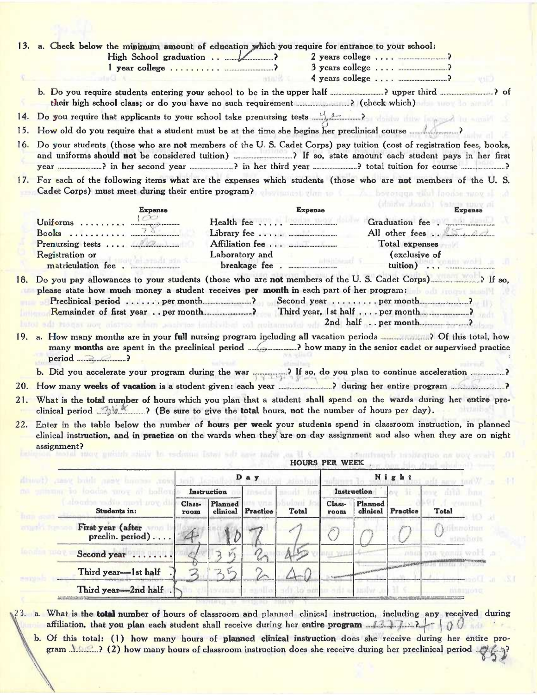| <b>First Scott</b> | Third year-lst half                                                                                                                                                                                                                                                                                                                                                                                                                                                                                                                                                | $\overline{\lambda}$ | for                        |                     |                       |                  |                     |                |                                        |
|--------------------|--------------------------------------------------------------------------------------------------------------------------------------------------------------------------------------------------------------------------------------------------------------------------------------------------------------------------------------------------------------------------------------------------------------------------------------------------------------------------------------------------------------------------------------------------------------------|----------------------|----------------------------|---------------------|-----------------------|------------------|---------------------|----------------|----------------------------------------|
|                    |                                                                                                                                                                                                                                                                                                                                                                                                                                                                                                                                                                    |                      |                            |                     |                       |                  |                     |                |                                        |
|                    | <b>London Tu</b><br>Second year                                                                                                                                                                                                                                                                                                                                                                                                                                                                                                                                    |                      | $k^m$                      |                     |                       | HE 72            |                     | CY EU JEI      | VALUE WORT                             |
|                    | First year (after<br><b>Allaha Manusa</b><br>preclin. period)                                                                                                                                                                                                                                                                                                                                                                                                                                                                                                      |                      |                            |                     |                       |                  |                     |                | efilmmoinum<br>stinnitions             |
|                    | Students in:                                                                                                                                                                                                                                                                                                                                                                                                                                                                                                                                                       | Class-<br>room       | <b>Planned</b><br>clinical | 24 VIII<br>Practice | <b>Total</b>          | Class-<br>room   | Planned<br>clinical | Practice       | <b>Total</b>                           |
|                    | ma pulisma so locadas vinos no bollovi<br>I alcomba padio queri nov dii                                                                                                                                                                                                                                                                                                                                                                                                                                                                                            |                      | Instruction                | insedu              | send br<br>buloui Ini |                  | Instruction         |                | one data Jone<br>$A$ <i>spination</i>  |
|                    | gian, second year, thind you, (fourth                                                                                                                                                                                                                                                                                                                                                                                                                                                                                                                              |                      |                            | Day                 | hinnhui               |                  |                     | Night          | tit amy And W                          |
|                    |                                                                                                                                                                                                                                                                                                                                                                                                                                                                                                                                                                    |                      |                            |                     | <b>HOURS PER WEEK</b> |                  |                     |                |                                        |
| 21.                | What is the total number of hours which you plan that a student shall spend on the wards during her entire pre-<br>clinical period <b>Allechanny</b> (Be sure to give the total hours, not the number of hours per day).<br>22. Enter in the table below the number of hours per week your students spend in classroom instruction, in planned<br>clinical instruction, and in practice on the wards when they are on day assignment and also when they are on night<br>assignment?<br>the second visual sease the technical number of visits shows and the latest |                      |                            |                     |                       |                  |                     |                | Schuttment insitection on boy spart 10 |
|                    |                                                                                                                                                                                                                                                                                                                                                                                                                                                                                                                                                                    |                      |                            |                     |                       |                  |                     |                |                                        |
|                    | b. Did you accelerate your program during the war way of if so, do you plan to continue acceleration                                                                                                                                                                                                                                                                                                                                                                                                                                                               |                      |                            |                     |                       |                  |                     |                |                                        |
|                    | period <u></u> ?                                                                                                                                                                                                                                                                                                                                                                                                                                                                                                                                                   |                      |                            |                     |                       |                  |                     |                |                                        |
|                    | please state how much money a student receives per month in each part of her program:                                                                                                                                                                                                                                                                                                                                                                                                                                                                              |                      |                            |                     |                       |                  |                     |                |                                        |
|                    | <b>Registration</b> or<br>matriculation fee.                                                                                                                                                                                                                                                                                                                                                                                                                                                                                                                       |                      |                            | Laboratory and      |                       | <b>AUSTRALIA</b> |                     | (exclusive of  | tuition)                               |
|                    |                                                                                                                                                                                                                                                                                                                                                                                                                                                                                                                                                                    |                      |                            |                     |                       |                  |                     | Total expenses |                                        |
|                    | Uniforms $\frac{1}{2}$                                                                                                                                                                                                                                                                                                                                                                                                                                                                                                                                             |                      |                            |                     |                       |                  |                     |                |                                        |
|                    | <b>Expense</b><br>$\sqrt{2}$                                                                                                                                                                                                                                                                                                                                                                                                                                                                                                                                       |                      |                            |                     | <b>Expense</b>        |                  |                     |                | (dhichy should) fatage tuny at         |
|                    | 17. For each of the following items what are the expenses which students (those who are not members of the U.S.<br>Cadet Corps) must meet during their entire program? The mast that to the boronges what looker way a                                                                                                                                                                                                                                                                                                                                             |                      |                            |                     |                       |                  |                     |                |                                        |
| 16.                | Do your students (those who are not members of the U.S. Cadet Corps) pay tuition (cost of registration fees, books,                                                                                                                                                                                                                                                                                                                                                                                                                                                |                      |                            |                     |                       |                  |                     |                |                                        |
| 15.                |                                                                                                                                                                                                                                                                                                                                                                                                                                                                                                                                                                    |                      |                            |                     |                       |                  |                     |                |                                        |
| 14.                |                                                                                                                                                                                                                                                                                                                                                                                                                                                                                                                                                                    |                      |                            |                     |                       |                  |                     |                |                                        |
|                    |                                                                                                                                                                                                                                                                                                                                                                                                                                                                                                                                                                    |                      |                            |                     |                       |                  |                     |                |                                        |
|                    |                                                                                                                                                                                                                                                                                                                                                                                                                                                                                                                                                                    |                      |                            |                     |                       |                  |                     |                | $\sim$ $\sqrt{10}$                     |
|                    |                                                                                                                                                                                                                                                                                                                                                                                                                                                                                                                                                                    |                      |                            |                     |                       |                  |                     |                |                                        |

 $23.$  a. What is the total number of hours of classroom and planned clinical instruction, including any received during affiliation, that you plan each student shall receive during her entire program ....;~~:. .~;..~:;~.:.,t...>...?,,,,~.~°• b. Of this total: (1) how many hours of planned clinical instruction does she receive during her entire program ...............? (2) how many hours of classroom instruction does she receive during her preclinical period ............?? ;~

 $\mathcal{N}$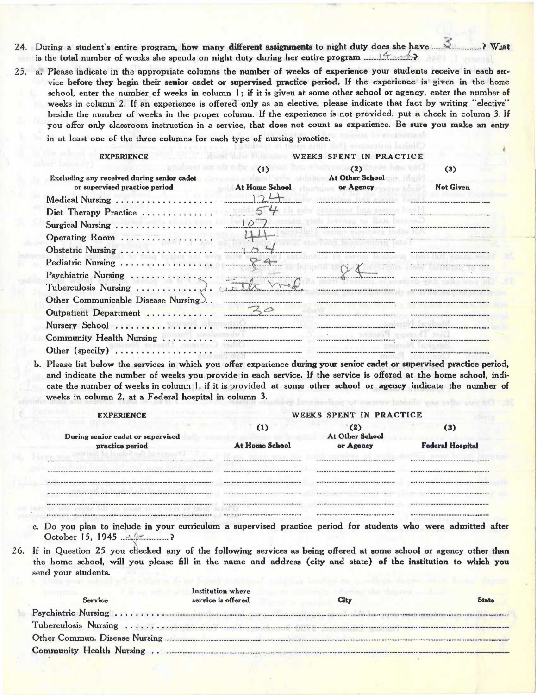- 24. During a student's entire program, how many different assignments to night duty does she have is the total number of weeks she spends on night duty during her entire program
- 25. a. Please indicate in the appropriate columns the number of weeks of experience your students receive in each service before they begin their senior cadet or supervised practice period. If the experience is given in the home school, enter the number of weeks in column 1; if it is given at some other school or agency, enter the number of weeks in column 2. If an experience is offered only as an elective, please indicate that fact by writing "elective" beside the number of weeks in the proper column. If the experience is not provided, put a check in column 3. If you offer only classroom instruction in a service, that does not count as experience. Be sure you make an entry in at least one of the three columns for each type of nursing practice.

 $(3)$ 

**Not Given** 

WEEKS SPENT IN PRACTICE **EXPERIENCE**  $(2)$  $(1)$ Excluding any received during senior cadet At Other School dans loedu or supervised practice period At Home School or Agency  $124$ Medical Nursing .................. Diet Therapy Practice ............. the company of the company of

| $\text{Surgical Nursing}$                                                                                         |                                                       |  |
|-------------------------------------------------------------------------------------------------------------------|-------------------------------------------------------|--|
| Operating Room                                                                                                    |                                                       |  |
| Obstetric Nursing                                                                                                 |                                                       |  |
| Pediatric Nursing                                                                                                 |                                                       |  |
| Psychiatric Nursing                                                                                               |                                                       |  |
| <b>Tuberculosis Nursing</b>                                                                                       | <b>A biastarman</b>                                   |  |
| Other Communicable Disease Nursing                                                                                |                                                       |  |
| Outpatient Department                                                                                             |                                                       |  |
| Nursery School                                                                                                    | <b>bbsschuecessbbbschuezungungungungunun mit busb</b> |  |
| Community Health Nursing                                                                                          |                                                       |  |
| Other (specify) $\ldots$                                                                                          |                                                       |  |
| Places list below the services in which you offer experience during your senior cadet or supervised practice next |                                                       |  |

b. Please list below the services in which you offer experience during your senior cadet or supervised practice period, and indicate the number of weeks you provide in each service. If the service is offered at the home school, indicate the number of weeks in column 1, if it is provided at some other school or agency indicate the number of weeks in column 2, at a Federal hospital in column 3. of pactures tabled your vehicle service.

| <b>EXPERIENCE</b>                 |                | WEEKS SPENT IN PRACTICE       |                         |  |  |  |
|-----------------------------------|----------------|-------------------------------|-------------------------|--|--|--|
| During senior cadet or supervised | (1)            | (2)<br><b>At Other School</b> | (3)                     |  |  |  |
| practice period                   | At Home School | or Agency                     | <b>Federal Hospital</b> |  |  |  |
|                                   |                |                               |                         |  |  |  |
|                                   |                |                               |                         |  |  |  |
|                                   |                |                               |                         |  |  |  |
|                                   |                |                               |                         |  |  |  |
|                                   |                |                               |                         |  |  |  |
|                                   |                |                               |                         |  |  |  |

c. Do you plan to include in your curriculum a supervised practice period for students who were admitted after October 15, 1945  $...$ ?

26. If in Question 25 you checked any of the following services as being offered at some school or agency other than the home school, will you please fill in the name and address (city and state) of the institution to which you send your students.

| Service | Institution where<br>service is offered                                                                                                                                                                                             | City | <b>State</b> |
|---------|-------------------------------------------------------------------------------------------------------------------------------------------------------------------------------------------------------------------------------------|------|--------------|
|         |                                                                                                                                                                                                                                     |      |              |
|         |                                                                                                                                                                                                                                     |      |              |
|         | Tuberculosis Nursing www.watcher.com/www.watcher.com/www.watcher.com/www.watcher.com/www.watcher.com/www.watcher.com/www.watcher.com/www.watcher.com/www.watcher.com/www.watcher.com/www.watcher.com/www.watcher.com/www.watch      |      |              |
|         | Other Commun. Disease Nursing <b>Executive Community</b> Contract and Security Community Community Community Community Community Community Community Community Community Community Community Community Community Community Communit |      |              |
|         |                                                                                                                                                                                                                                     |      |              |